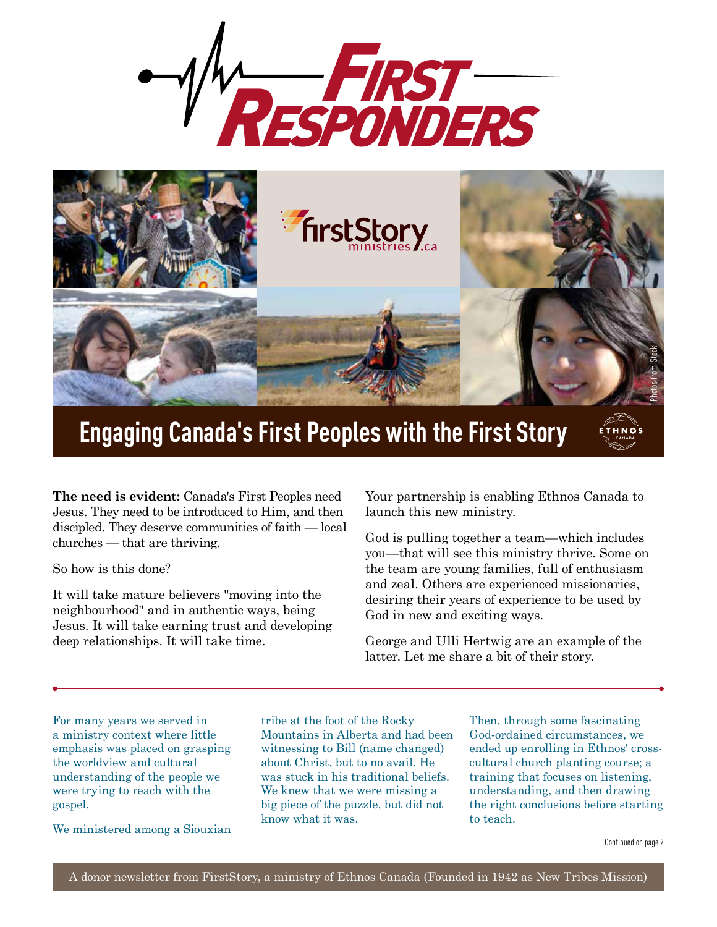



## **Engaging Canada's First Peoples with the First Story**

**The need is evident:** Canada's First Peoples need Jesus. They need to be introduced to Him, and then discipled. They deserve communities of faith — local churches — that are thriving.

So how is this done?

It will take mature believers "moving into the neighbourhood" and in authentic ways, being Jesus. It will take earning trust and developing deep relationships. It will take time.

Your partnership is enabling Ethnos Canada to launch this new ministry.

God is pulling together a team—which includes you—that will see this ministry thrive. Some on the team are young families, full of enthusiasm and zeal. Others are experienced missionaries, desiring their years of experience to be used by God in new and exciting ways.

George and Ulli Hertwig are an example of the latter. Let me share a bit of their story.

For many years we served in a ministry context where little emphasis was placed on grasping the worldview and cultural understanding of the people we were trying to reach with the gospel.

We ministered among a Siouxian

tribe at the foot of the Rocky Mountains in Alberta and had been witnessing to Bill (name changed) about Christ, but to no avail. He was stuck in his traditional beliefs. We knew that we were missing a big piece of the puzzle, but did not know what it was.

Then, through some fascinating God-ordained circumstances, we ended up enrolling in Ethnos' crosscultural church planting course; a training that focuses on listening, understanding, and then drawing the right conclusions before starting to teach.

CANADA

ETHNOS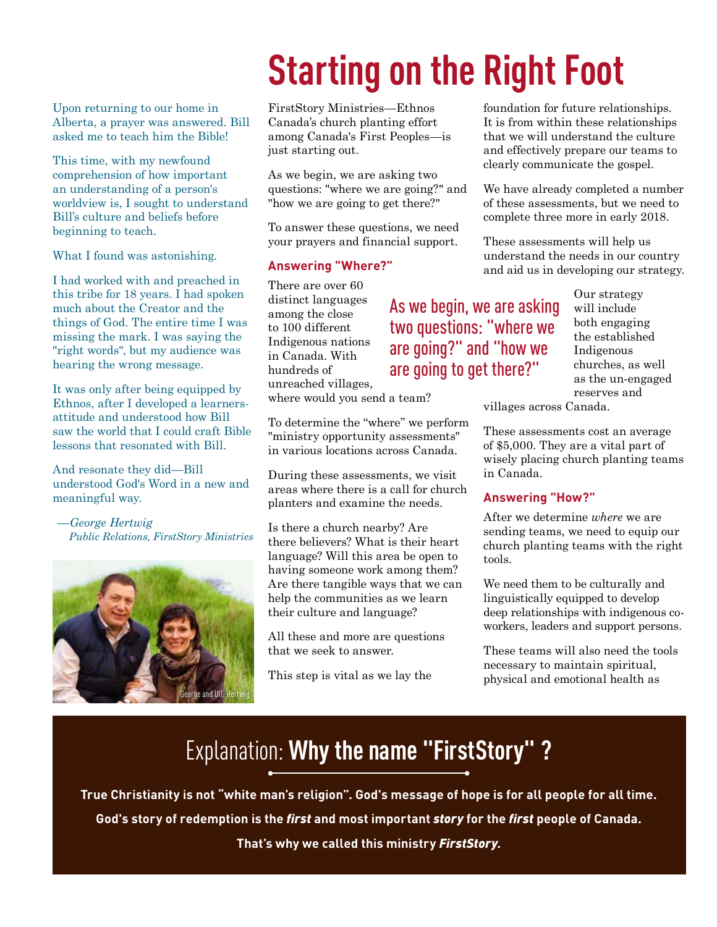## **Starting on the Right Foot**

Upon returning to our home in Alberta, a prayer was answered. Bill asked me to teach him the Bible!

This time, with my newfound comprehension of how important an understanding of a person's worldview is, I sought to understand Bill's culture and beliefs before beginning to teach.

What I found was astonishing.

I had worked with and preached in this tribe for 18 years. I had spoken much about the Creator and the things of God. The entire time I was missing the mark. I was saying the "right words", but my audience was hearing the wrong message.

It was only after being equipped by Ethnos, after I developed a learnersattitude and understood how Bill saw the world that I could craft Bible lessons that resonated with Bill.

And resonate they did—Bill understood God's Word in a new and meaningful way.

*—George Hertwig Public Relations, FirstStory Ministries*



FirstStory Ministries—Ethnos Canada's church planting effort among Canada's First Peoples—is just starting out.

As we begin, we are asking two questions: "where we are going?" and "how we are going to get there?"

To answer these questions, we need your prayers and financial support.

#### **Answering "Where?"**

There are over 60 distinct languages among the close to 100 different Indigenous nations in Canada. With hundreds of unreached villages,

where would you send a team?

To determine the "where" we perform "ministry opportunity assessments" in various locations across Canada.

During these assessments, we visit areas where there is a call for church planters and examine the needs.

Is there a church nearby? Are there believers? What is their heart language? Will this area be open to having someone work among them? Are there tangible ways that we can help the communities as we learn their culture and language?

All these and more are questions that we seek to answer.

This step is vital as we lay the

foundation for future relationships. It is from within these relationships that we will understand the culture and effectively prepare our teams to clearly communicate the gospel.

We have already completed a number of these assessments, but we need to complete three more in early 2018.

These assessments will help us understand the needs in our country and aid us in developing our strategy.

As we begin, we are asking two questions: "where we are going?" and "how we are going to get there?"

Our strategy will include both engaging the established Indigenous churches, as well as the un-engaged reserves and

villages across Canada.

These assessments cost an average of \$5,000. They are a vital part of wisely placing church planting teams in Canada.

#### **Answering "How?"**

After we determine *where* we are sending teams, we need to equip our church planting teams with the right tools.

We need them to be culturally and linguistically equipped to develop deep relationships with indigenous coworkers, leaders and support persons.

These teams will also need the tools necessary to maintain spiritual, physical and emotional health as

## Explanation: **Why the name "FirstStory" ?**

**True Christianity is not "white man's religion". God's message of hope is for all people for all time.** 

**God's story of redemption is the** *first* **and most important** *story* **for the** *first* **people of Canada.** 

**That's why we called this ministry** *FirstStory***.**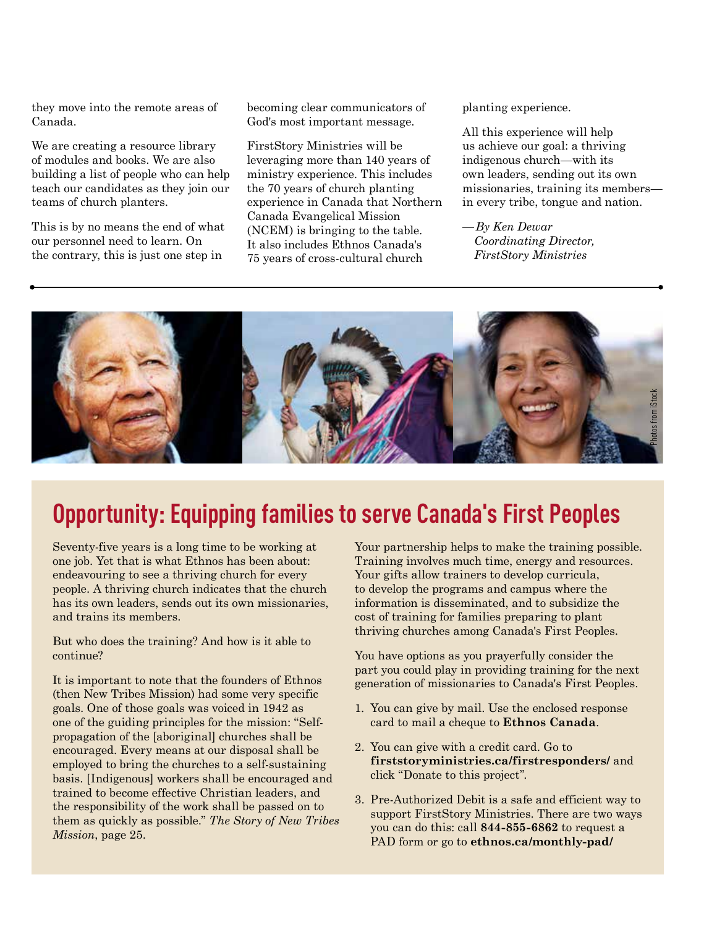they move into the remote areas of Canada.

We are creating a resource library of modules and books. We are also building a list of people who can help teach our candidates as they join our teams of church planters.

This is by no means the end of what our personnel need to learn. On the contrary, this is just one step in

becoming clear communicators of God's most important message.

FirstStory Ministries will be leveraging more than 140 years of ministry experience. This includes the 70 years of church planting experience in Canada that Northern Canada Evangelical Mission (NCEM) is bringing to the table. It also includes Ethnos Canada's 75 years of cross-cultural church

planting experience.

All this experience will help us achieve our goal: a thriving indigenous church—with its own leaders, sending out its own missionaries, training its members in every tribe, tongue and nation.

*— By Ken Dewar Coordinating Director, FirstStory Ministries*



### **Opportunity: Equipping families to serve Canada's First Peoples**

Seventy-five years is a long time to be working at one job. Yet that is what Ethnos has been about: endeavouring to see a thriving church for every people. A thriving church indicates that the church has its own leaders, sends out its own missionaries, and trains its members.

But who does the training? And how is it able to continue?

It is important to note that the founders of Ethnos (then New Tribes Mission) had some very specific goals. One of those goals was voiced in 1942 as one of the guiding principles for the mission: "Selfpropagation of the [aboriginal] churches shall be encouraged. Every means at our disposal shall be employed to bring the churches to a self-sustaining basis. [Indigenous] workers shall be encouraged and trained to become effective Christian leaders, and the responsibility of the work shall be passed on to them as quickly as possible." *The Story of New Tribes Mission*, page 25.

Your partnership helps to make the training possible. Training involves much time, energy and resources. Your gifts allow trainers to develop curricula, to develop the programs and campus where the information is disseminated, and to subsidize the cost of training for families preparing to plant thriving churches among Canada's First Peoples.

You have options as you prayerfully consider the part you could play in providing training for the next generation of missionaries to Canada's First Peoples.

- 1. You can give by mail. Use the enclosed response card to mail a cheque to **Ethnos Canada**.
- 2. You can give with a credit card. Go to **firststoryministries.ca/firstresponders/** and click "Donate to this project".
- 3. Pre-Authorized Debit is a safe and efficient way to support FirstStory Ministries. There are two ways you can do this: call **844-855-6862** to request a PAD form or go to **ethnos.ca/monthly-pad/**